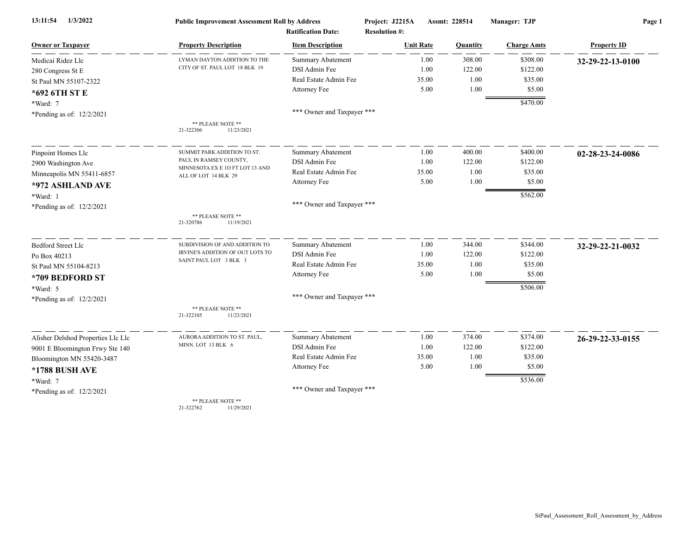| 1/3/2022<br>13:11:54               | <b>Public Improvement Assessment Roll by Address</b>    |                            | Project: J2215A      | Assmt: 228514 | Manager: TJP       | Page 1             |  |
|------------------------------------|---------------------------------------------------------|----------------------------|----------------------|---------------|--------------------|--------------------|--|
|                                    |                                                         | <b>Ratification Date:</b>  | <b>Resolution #:</b> |               |                    |                    |  |
| <b>Owner or Taxpayer</b>           | <b>Property Description</b>                             | <b>Item Description</b>    | <b>Unit Rate</b>     | Quantity      | <b>Charge Amts</b> | <b>Property ID</b> |  |
| Medicai Ridez Llc                  | LYMAN DAYTON ADDITION TO THE                            | <b>Summary Abatement</b>   | 1.00                 | 308.00        | \$308.00           | 32-29-22-13-0100   |  |
| 280 Congress St E                  | CITY OF ST. PAUL LOT 18 BLK 19                          | DSI Admin Fee              | 1.00                 | 122.00        | \$122.00           |                    |  |
| St Paul MN 55107-2322              |                                                         | Real Estate Admin Fee      | 35.00                | 1.00          | \$35.00            |                    |  |
| *692 6TH ST E                      |                                                         | Attorney Fee               | 5.00                 | 1.00          | \$5.00             |                    |  |
| *Ward: 7                           |                                                         |                            |                      |               | \$470.00           |                    |  |
| *Pending as of: 12/2/2021          |                                                         | *** Owner and Taxpayer *** |                      |               |                    |                    |  |
|                                    | ** PLEASE NOTE **<br>21-322306<br>11/23/2021            |                            |                      |               |                    |                    |  |
| Pinpoint Homes Llc                 | SUMMIT PARK ADDITION TO ST.                             | <b>Summary Abatement</b>   | 1.00                 | 400.00        | \$400.00           | 02-28-23-24-0086   |  |
| 2900 Washington Ave                | PAUL IN RAMSEY COUNTY,                                  | DSI Admin Fee              | 1.00                 | 122.00        | \$122.00           |                    |  |
| Minneapolis MN 55411-6857          | MINNESOTA EX E 10 FT LOT 13 AND<br>ALL OF LOT 14 BLK 29 | Real Estate Admin Fee      | 35.00                | 1.00          | \$35.00            |                    |  |
| *972 ASHLAND AVE                   |                                                         | Attorney Fee               | 5.00                 | 1.00          | \$5.00             |                    |  |
| *Ward: 1                           |                                                         |                            |                      |               | \$562.00           |                    |  |
| *Pending as of: 12/2/2021          |                                                         | *** Owner and Taxpayer *** |                      |               |                    |                    |  |
|                                    | ** PLEASE NOTE **<br>21-320786<br>11/19/2021            |                            |                      |               |                    |                    |  |
| <b>Bedford Street Llc</b>          | SUBDIVISION OF AND ADDITION TO                          | <b>Summary Abatement</b>   | 1.00                 | 344.00        | \$344.00           | 32-29-22-21-0032   |  |
| Po Box 40213                       | IRVINE'S ADDITION OF OUT LOTS TO                        | DSI Admin Fee              | 1.00                 | 122.00        | \$122.00           |                    |  |
| St Paul MN 55104-8213              | SAINT PAUL LOT 3 BLK 3                                  | Real Estate Admin Fee      | 35.00                | 1.00          | \$35.00            |                    |  |
| *709 BEDFORD ST                    |                                                         | Attorney Fee               | 5.00                 | 1.00          | \$5.00             |                    |  |
| *Ward: 5                           |                                                         |                            |                      |               | \$506.00           |                    |  |
| *Pending as of: 12/2/2021          |                                                         | *** Owner and Taxpayer *** |                      |               |                    |                    |  |
|                                    | ** PLEASE NOTE **<br>21-322105<br>11/23/2021            |                            |                      |               |                    |                    |  |
| Alisher Delshod Properties Llc Llc | AURORA ADDITION TO ST. PAUL,                            | <b>Summary Abatement</b>   | 1.00                 | 374.00        | \$374.00           | 26-29-22-33-0155   |  |
| 9001 E Bloomington Frwy Ste 140    | MINN. LOT 13 BLK 6                                      | DSI Admin Fee              | 1.00                 | 122.00        | \$122.00           |                    |  |
| Bloomington MN 55420-3487          |                                                         | Real Estate Admin Fee      | 35.00                | 1.00          | \$35.00            |                    |  |
| *1788 BUSH AVE                     |                                                         | Attorney Fee               | 5.00                 | 1.00          | \$5.00             |                    |  |
| *Ward: 7                           |                                                         |                            |                      |               | \$536.00           |                    |  |
| *Pending as of: 12/2/2021          |                                                         | *** Owner and Taxpayer *** |                      |               |                    |                    |  |
|                                    | ** PLEASE NOTE **                                       |                            |                      |               |                    |                    |  |

21-322762 11/29/2021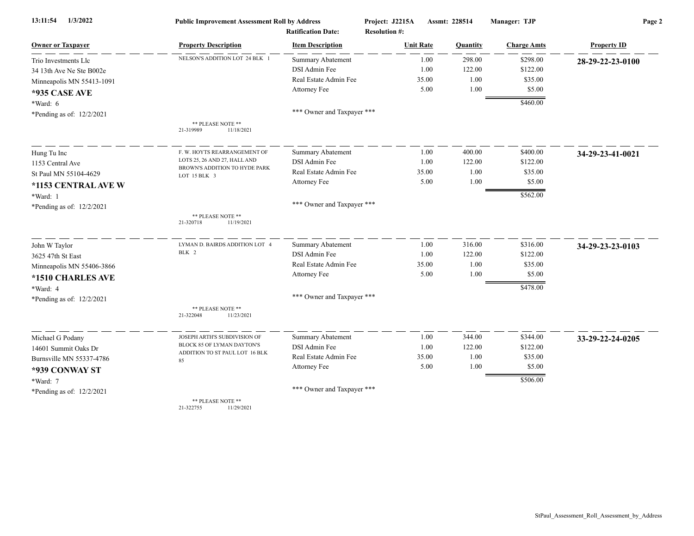| 1/3/2022<br>13:11:54      | <b>Public Improvement Assessment Roll by Address</b><br><b>Ratification Date:</b> |                            | Project: J2215A<br><b>Resolution #:</b> | Assmt: 228514 | Manager: TJP       | Page 2             |  |
|---------------------------|-----------------------------------------------------------------------------------|----------------------------|-----------------------------------------|---------------|--------------------|--------------------|--|
| <b>Owner or Taxpayer</b>  | <b>Property Description</b>                                                       | <b>Item Description</b>    | <b>Unit Rate</b>                        | Quantity      | <b>Charge Amts</b> | <b>Property ID</b> |  |
| Trio Investments Llc      | NELSON'S ADDITION LOT 24 BLK 1                                                    | <b>Summary Abatement</b>   | 1.00                                    | 298.00        | \$298.00           | 28-29-22-23-0100   |  |
| 34 13th Ave Ne Ste B002e  |                                                                                   | DSI Admin Fee              | 1.00                                    | 122.00        | \$122.00           |                    |  |
| Minneapolis MN 55413-1091 |                                                                                   | Real Estate Admin Fee      | 35.00                                   | 1.00          | \$35.00            |                    |  |
| *935 CASE AVE             |                                                                                   | Attorney Fee               | 5.00                                    | 1.00          | \$5.00             |                    |  |
| *Ward: 6                  |                                                                                   |                            |                                         |               | \$460.00           |                    |  |
| *Pending as of: 12/2/2021 |                                                                                   | *** Owner and Taxpayer *** |                                         |               |                    |                    |  |
|                           | ** PLEASE NOTE **<br>21-319989<br>11/18/2021                                      |                            |                                         |               |                    |                    |  |
| Hung Tu Inc               | F. W. HOYTS REARRANGEMENT OF                                                      | <b>Summary Abatement</b>   | 1.00                                    | 400.00        | \$400.00           | 34-29-23-41-0021   |  |
| 1153 Central Ave          | LOTS 25, 26 AND 27, HALL AND                                                      | DSI Admin Fee              | 1.00                                    | 122.00        | \$122.00           |                    |  |
| St Paul MN 55104-4629     | BROWN'S ADDITION TO HYDE PARK<br>LOT 15 BLK 3                                     | Real Estate Admin Fee      | 35.00                                   | 1.00          | \$35.00            |                    |  |
| *1153 CENTRAL AVE W       |                                                                                   | Attorney Fee               | 5.00                                    | 1.00          | \$5.00             |                    |  |
| *Ward: 1                  |                                                                                   |                            |                                         |               | \$562.00           |                    |  |
| *Pending as of: 12/2/2021 |                                                                                   | *** Owner and Taxpayer *** |                                         |               |                    |                    |  |
|                           | ** PLEASE NOTE **<br>21-320718<br>11/19/2021                                      |                            |                                         |               |                    |                    |  |
| John W Taylor             | LYMAN D. BAIRDS ADDITION LOT 4                                                    | <b>Summary Abatement</b>   | 1.00                                    | 316.00        | \$316.00           | 34-29-23-23-0103   |  |
| 3625 47th St East         | BLK 2                                                                             | DSI Admin Fee              | 1.00                                    | 122.00        | \$122.00           |                    |  |
| Minneapolis MN 55406-3866 |                                                                                   | Real Estate Admin Fee      | 35.00                                   | 1.00          | \$35.00            |                    |  |
| *1510 CHARLES AVE         |                                                                                   | Attorney Fee               | 5.00                                    | 1.00          | \$5.00             |                    |  |
| *Ward: 4                  |                                                                                   |                            |                                         |               | \$478.00           |                    |  |
| *Pending as of: 12/2/2021 |                                                                                   | *** Owner and Taxpayer *** |                                         |               |                    |                    |  |
|                           | ** PLEASE NOTE **<br>11/23/2021<br>21-322048                                      |                            |                                         |               |                    |                    |  |
| Michael G Podany          | JOSEPH ARTH'S SUBDIVISION OF                                                      | <b>Summary Abatement</b>   | 1.00                                    | 344.00        | \$344.00           | 33-29-22-24-0205   |  |
| 14601 Summit Oaks Dr      | BLOCK 85 OF LYMAN DAYTON'S                                                        | DSI Admin Fee              | 1.00                                    | 122.00        | \$122.00           |                    |  |
| Burnsville MN 55337-4786  | ADDITION TO ST PAUL LOT 16 BLK<br>85                                              | Real Estate Admin Fee      | 35.00                                   | 1.00          | \$35.00            |                    |  |
| *939 CONWAY ST            |                                                                                   | Attorney Fee               | 5.00                                    | 1.00          | \$5.00             |                    |  |
| *Ward: 7                  |                                                                                   |                            |                                         |               | \$506.00           |                    |  |
| *Pending as of: 12/2/2021 |                                                                                   | *** Owner and Taxpayer *** |                                         |               |                    |                    |  |
|                           | ** PLEASE NOTE **<br>21-322755<br>11/29/2021                                      |                            |                                         |               |                    |                    |  |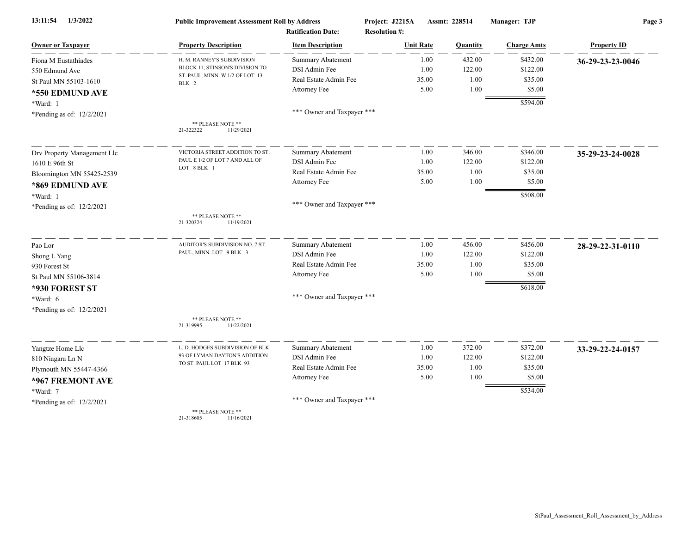| 1/3/2022<br>13:11:54        | <b>Public Improvement Assessment Roll by Address</b> |                            | Project: J2215A      | Assmt: 228514 | Manager: TJP       | Page 3             |  |
|-----------------------------|------------------------------------------------------|----------------------------|----------------------|---------------|--------------------|--------------------|--|
|                             |                                                      | <b>Ratification Date:</b>  | <b>Resolution #:</b> |               |                    |                    |  |
| <b>Owner or Taxpayer</b>    | <b>Property Description</b>                          | <b>Item Description</b>    | <b>Unit Rate</b>     | Quantity      | <b>Charge Amts</b> | <b>Property ID</b> |  |
| Fiona M Eustathiades        | H. M. RANNEY'S SUBDIVISION                           | Summary Abatement          | 1.00                 | 432.00        | \$432.00           | 36-29-23-23-0046   |  |
| 550 Edmund Ave              | BLOCK 11, STINSON'S DIVISION TO                      | DSI Admin Fee              | 1.00                 | 122.00        | \$122.00           |                    |  |
| St Paul MN 55103-1610       | ST. PAUL, MINN. W 1/2 OF LOT 13<br>BLK 2             | Real Estate Admin Fee      | 35.00                | 1.00          | \$35.00            |                    |  |
| *550 EDMUND AVE             |                                                      | Attorney Fee               | 5.00                 | 1.00          | \$5.00             |                    |  |
| *Ward: 1                    |                                                      |                            |                      |               | \$594.00           |                    |  |
| *Pending as of: 12/2/2021   |                                                      | *** Owner and Taxpayer *** |                      |               |                    |                    |  |
|                             | ** PLEASE NOTE **<br>21-322322<br>11/29/2021         |                            |                      |               |                    |                    |  |
| Drv Property Management Llc | VICTORIA STREET ADDITION TO ST                       | <b>Summary Abatement</b>   | 1.00                 | 346.00        | \$346.00           | 35-29-23-24-0028   |  |
| 1610 E 96th St              | PAUL E 1/2 OF LOT 7 AND ALL OF                       | DSI Admin Fee              | 1.00                 | 122.00        | \$122.00           |                    |  |
| Bloomington MN 55425-2539   | LOT 8 BLK 1                                          | Real Estate Admin Fee      | 35.00                | 1.00          | \$35.00            |                    |  |
| *869 EDMUND AVE             |                                                      | Attorney Fee               | 5.00                 | 1.00          | \$5.00             |                    |  |
| *Ward: 1                    |                                                      |                            |                      |               | \$508.00           |                    |  |
| *Pending as of: 12/2/2021   |                                                      | *** Owner and Taxpayer *** |                      |               |                    |                    |  |
|                             | ** PLEASE NOTE **<br>21-320324<br>11/19/2021         |                            |                      |               |                    |                    |  |
| Pao Lor                     | AUDITOR'S SUBDIVISION NO. 7 ST.                      | <b>Summary Abatement</b>   | 1.00                 | 456.00        | \$456.00           | 28-29-22-31-0110   |  |
| Shong L Yang                | PAUL, MINN. LOT 9 BLK 3                              | DSI Admin Fee              | 1.00                 | 122.00        | \$122.00           |                    |  |
| 930 Forest St               |                                                      | Real Estate Admin Fee      | 35.00                | 1.00          | \$35.00            |                    |  |
| St Paul MN 55106-3814       |                                                      | Attorney Fee               | 5.00                 | 1.00          | \$5.00             |                    |  |
| *930 FOREST ST              |                                                      |                            |                      |               | \$618.00           |                    |  |
| *Ward: 6                    |                                                      | *** Owner and Taxpayer *** |                      |               |                    |                    |  |
| *Pending as of: 12/2/2021   |                                                      |                            |                      |               |                    |                    |  |
|                             | ** PLEASE NOTE **<br>11/22/2021<br>21-319995         |                            |                      |               |                    |                    |  |
| Yangtze Home Llc            | L. D. HODGES SUBDIVISION OF BLK.                     | Summary Abatement          | 1.00                 | 372.00        | \$372.00           | 33-29-22-24-0157   |  |
| 810 Niagara Ln N            | 93 OF LYMAN DAYTON'S ADDITION                        | DSI Admin Fee              | 1.00                 | 122.00        | \$122.00           |                    |  |
| Plymouth MN 55447-4366      | TO ST. PAUL LOT 17 BLK 93                            | Real Estate Admin Fee      | 35.00                | 1.00          | \$35.00            |                    |  |
| *967 FREMONT AVE            |                                                      | Attorney Fee               | 5.00                 | 1.00          | \$5.00             |                    |  |
| *Ward: 7                    |                                                      |                            |                      |               | \$534.00           |                    |  |
| *Pending as of: 12/2/2021   |                                                      | *** Owner and Taxpayer *** |                      |               |                    |                    |  |
|                             | ** PLEASE NOTE **<br>21-318605<br>11/16/2021         |                            |                      |               |                    |                    |  |

StPaul\_Assessment\_Roll\_Assessment\_by\_Address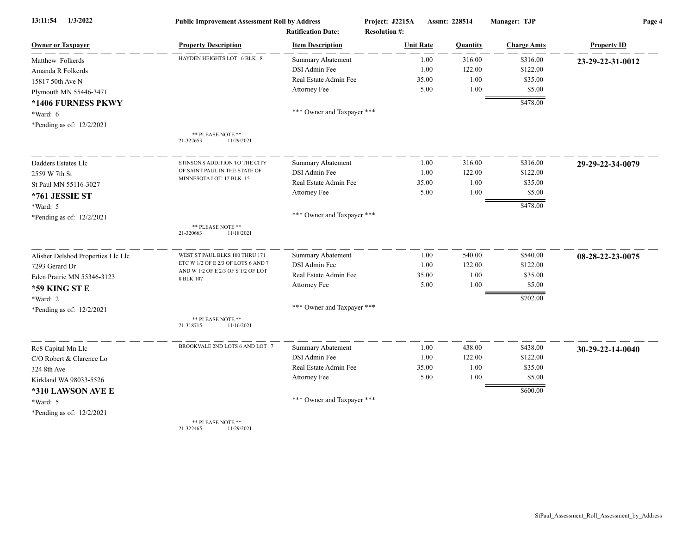| 13:11:54<br>1/3/2022               | <b>Public Improvement Assessment Roll by Address</b><br><b>Ratification Date:</b> |                            | Project: J2215A<br>Assmt: 228514<br><b>Resolution #:</b> |          | Manager: TJP       | Page 4             |  |
|------------------------------------|-----------------------------------------------------------------------------------|----------------------------|----------------------------------------------------------|----------|--------------------|--------------------|--|
|                                    |                                                                                   |                            |                                                          |          |                    |                    |  |
| <b>Owner or Taxpayer</b>           | <b>Property Description</b>                                                       | <b>Item Description</b>    | <b>Unit Rate</b>                                         | Quantity | <b>Charge Amts</b> | <b>Property ID</b> |  |
| Matthew Folkerds                   | HAYDEN HEIGHTS LOT 6 BLK 8                                                        | <b>Summary Abatement</b>   | 1.00                                                     | 316.00   | \$316.00           | 23-29-22-31-0012   |  |
| Amanda R Folkerds                  |                                                                                   | DSI Admin Fee              | 1.00                                                     | 122.00   | \$122.00           |                    |  |
| 15817 50th Ave N                   |                                                                                   | Real Estate Admin Fee      | 35.00                                                    | 1.00     | \$35.00            |                    |  |
| Plymouth MN 55446-3471             |                                                                                   | Attorney Fee               | 5.00                                                     | 1.00     | \$5.00             |                    |  |
| *1406 FURNESS PKWY                 |                                                                                   |                            |                                                          |          | \$478.00           |                    |  |
| *Ward: 6                           |                                                                                   | *** Owner and Taxpayer *** |                                                          |          |                    |                    |  |
| *Pending as of: 12/2/2021          |                                                                                   |                            |                                                          |          |                    |                    |  |
|                                    | ** PLEASE NOTE **<br>21-322653<br>11/29/2021                                      |                            |                                                          |          |                    |                    |  |
| Dadders Estates Llc                | STINSON'S ADDITION TO THE CITY                                                    | Summary Abatement          | 1.00                                                     | 316.00   | \$316.00           | 29-29-22-34-0079   |  |
| 2559 W 7th St                      | OF SAINT PAUL IN THE STATE OF                                                     | DSI Admin Fee              | 1.00                                                     | 122.00   | \$122.00           |                    |  |
| St Paul MN 55116-3027              | MINNESOTA LOT 12 BLK 15                                                           | Real Estate Admin Fee      | 35.00                                                    | 1.00     | \$35.00            |                    |  |
| *761 JESSIE ST                     |                                                                                   | Attorney Fee               | 5.00                                                     | 1.00     | \$5.00             |                    |  |
| *Ward: 5                           |                                                                                   |                            |                                                          |          | \$478.00           |                    |  |
| *Pending as of: 12/2/2021          |                                                                                   | *** Owner and Taxpayer *** |                                                          |          |                    |                    |  |
|                                    | ** PLEASE NOTE **<br>21-320663<br>11/18/2021                                      |                            |                                                          |          |                    |                    |  |
| Alisher Delshod Properties Llc Llc | WEST ST PAUL BLKS 100 THRU 171                                                    | <b>Summary Abatement</b>   | 1.00                                                     | 540.00   | \$540.00           | 08-28-22-23-0075   |  |
| 7293 Gerard Dr                     | ETC W 1/2 OF E 2/3 OF LOTS 6 AND 7                                                | DSI Admin Fee              | 1.00                                                     | 122.00   | \$122.00           |                    |  |
| Eden Prairie MN 55346-3123         | AND W 1/2 OF E 2/3 OF S 1/2 OF LOT<br>8 BLK 107                                   | Real Estate Admin Fee      | 35.00                                                    | 1.00     | \$35.00            |                    |  |
| *59 KING ST E                      |                                                                                   | Attorney Fee               | 5.00                                                     | 1.00     | \$5.00             |                    |  |
| *Ward: 2                           |                                                                                   |                            |                                                          |          | \$702.00           |                    |  |
| *Pending as of: 12/2/2021          |                                                                                   | *** Owner and Taxpayer *** |                                                          |          |                    |                    |  |
|                                    | ** PLEASE NOTE **<br>21-318715<br>11/16/2021                                      |                            |                                                          |          |                    |                    |  |
| Rc8 Capital Mn Llc                 | BROOKVALE 2ND LOTS 6 AND LOT 7                                                    | Summary Abatement          | 1.00                                                     | 438.00   | \$438.00           | 30-29-22-14-0040   |  |
| C/O Robert & Clarence Lo           |                                                                                   | DSI Admin Fee              | 1.00                                                     | 122.00   | \$122.00           |                    |  |
| 324 8th Ave                        |                                                                                   | Real Estate Admin Fee      | 35.00                                                    | 1.00     | \$35.00            |                    |  |
| Kirkland WA 98033-5526             |                                                                                   | Attorney Fee               | 5.00                                                     | 1.00     | \$5.00             |                    |  |
| *310 LAWSON AVE E                  |                                                                                   |                            |                                                          |          | \$600.00           |                    |  |
| *Ward: 5                           |                                                                                   | *** Owner and Taxpayer *** |                                                          |          |                    |                    |  |
| *Pending as of: 12/2/2021          |                                                                                   |                            |                                                          |          |                    |                    |  |
|                                    | ** PLEASE NOTE **                                                                 |                            |                                                          |          |                    |                    |  |

21-322465 11/29/2021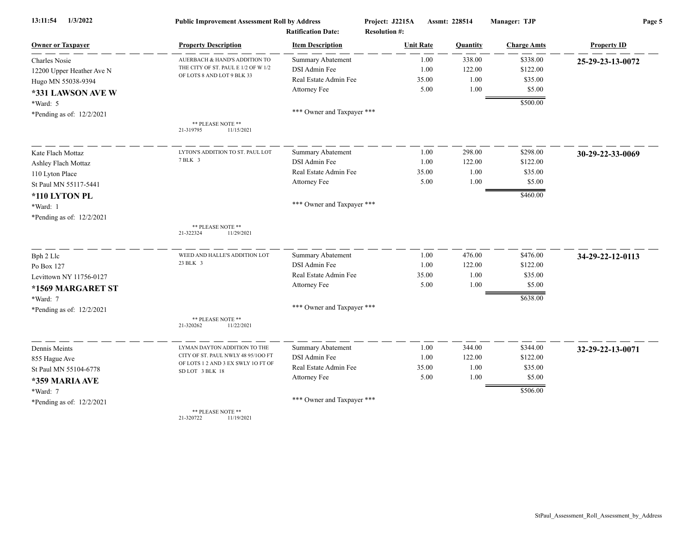| 13:11:54<br>1/3/2022      | <b>Public Improvement Assessment Roll by Address</b><br><b>Ratification Date:</b> |                            | Project: J2215A<br>Assmt: 228514<br><b>Resolution #:</b> |          | Manager: TJP       | Page 5             |  |
|---------------------------|-----------------------------------------------------------------------------------|----------------------------|----------------------------------------------------------|----------|--------------------|--------------------|--|
| <b>Owner or Taxpayer</b>  | <b>Property Description</b>                                                       | <b>Item Description</b>    | <b>Unit Rate</b>                                         | Quantity | <b>Charge Amts</b> | <b>Property ID</b> |  |
| <b>Charles Nosie</b>      | AUERBACH & HAND'S ADDITION TO                                                     | <b>Summary Abatement</b>   | 1.00                                                     | 338.00   | \$338.00           | 25-29-23-13-0072   |  |
| 12200 Upper Heather Ave N | THE CITY OF ST. PAUL E 1/2 OF W 1/2                                               | DSI Admin Fee              | 1.00                                                     | 122.00   | \$122.00           |                    |  |
| Hugo MN 55038-9394        | OF LOTS 8 AND LOT 9 BLK 33                                                        | Real Estate Admin Fee      | 35.00                                                    | 1.00     | \$35.00            |                    |  |
| *331 LAWSON AVE W         |                                                                                   | Attorney Fee               | 5.00                                                     | 1.00     | \$5.00             |                    |  |
| *Ward: 5                  |                                                                                   |                            |                                                          |          | \$500.00           |                    |  |
| *Pending as of: 12/2/2021 |                                                                                   | *** Owner and Taxpayer *** |                                                          |          |                    |                    |  |
|                           | ** PLEASE NOTE **<br>21-319795<br>11/15/2021                                      |                            |                                                          |          |                    |                    |  |
| Kate Flach Mottaz         | LYTON'S ADDITION TO ST. PAUL LOT                                                  | <b>Summary Abatement</b>   | 1.00                                                     | 298.00   | \$298.00           | 30-29-22-33-0069   |  |
| Ashley Flach Mottaz       | 7 BLK 3                                                                           | DSI Admin Fee              | 1.00                                                     | 122.00   | \$122.00           |                    |  |
| 110 Lyton Place           |                                                                                   | Real Estate Admin Fee      | 35.00                                                    | 1.00     | \$35.00            |                    |  |
| St Paul MN 55117-5441     |                                                                                   | Attorney Fee               | 5.00                                                     | 1.00     | \$5.00             |                    |  |
| *110 LYTON PL             |                                                                                   |                            |                                                          |          | \$460.00           |                    |  |
| *Ward: 1                  |                                                                                   | *** Owner and Taxpayer *** |                                                          |          |                    |                    |  |
| *Pending as of: 12/2/2021 |                                                                                   |                            |                                                          |          |                    |                    |  |
|                           | ** PLEASE NOTE **<br>21-322324<br>11/29/2021                                      |                            |                                                          |          |                    |                    |  |
| Bph 2 Llc                 | WEED AND HALLE'S ADDITION LOT                                                     | <b>Summary Abatement</b>   | 1.00                                                     | 476.00   | \$476.00           | 34-29-22-12-0113   |  |
| Po Box 127                | 23 BLK 3                                                                          | DSI Admin Fee              | 1.00                                                     | 122.00   | \$122.00           |                    |  |
| Levittown NY 11756-0127   |                                                                                   | Real Estate Admin Fee      | 35.00                                                    | 1.00     | \$35.00            |                    |  |
| *1569 MARGARET ST         |                                                                                   | Attorney Fee               | 5.00                                                     | 1.00     | \$5.00             |                    |  |
| *Ward: 7                  |                                                                                   |                            |                                                          |          | \$638.00           |                    |  |
| *Pending as of: 12/2/2021 |                                                                                   | *** Owner and Taxpayer *** |                                                          |          |                    |                    |  |
|                           | ** PLEASE NOTE **<br>21-320262<br>11/22/2021                                      |                            |                                                          |          |                    |                    |  |
| Dennis Meints             | LYMAN DAYTON ADDITION TO THE                                                      | <b>Summary Abatement</b>   | 1.00                                                     | 344.00   | \$344.00           | 32-29-22-13-0071   |  |
| 855 Hague Ave             | CITY OF ST. PAUL NWLY 48 95/100 FT                                                | DSI Admin Fee              | 1.00                                                     | 122.00   | \$122.00           |                    |  |
| St Paul MN 55104-6778     | OF LOTS 1 2 AND 3 EX SWLY 1O FT OF<br>SD LOT 3 BLK 18                             | Real Estate Admin Fee      | 35.00                                                    | 1.00     | \$35.00            |                    |  |
| *359 MARIA AVE            |                                                                                   | Attorney Fee               | 5.00                                                     | 1.00     | \$5.00             |                    |  |
| *Ward: 7                  |                                                                                   |                            |                                                          |          | \$506.00           |                    |  |
| *Pending as of: 12/2/2021 |                                                                                   | *** Owner and Taxpayer *** |                                                          |          |                    |                    |  |
|                           | ** PLEASE NOTE **<br>21-320722<br>11/19/2021                                      |                            |                                                          |          |                    |                    |  |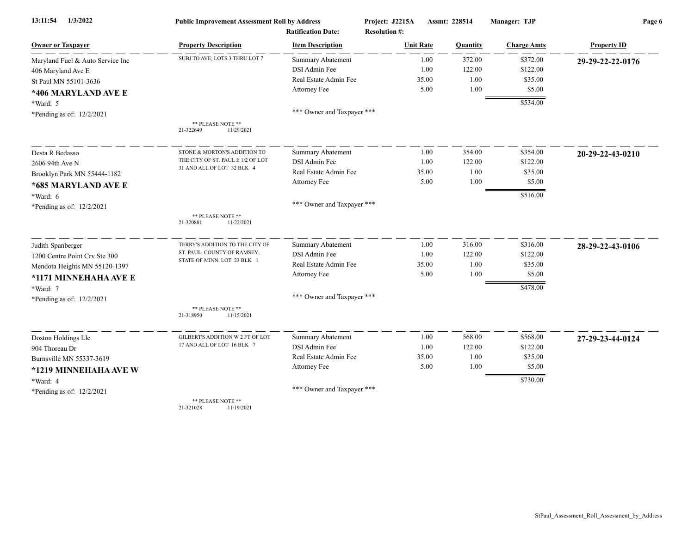| 1/3/2022<br>13:11:54             | <b>Public Improvement Assessment Roll by Address</b><br><b>Ratification Date:</b> |                            | Project: J2215A<br>Assmt: 228514<br><b>Resolution #:</b> |          | Manager: TJP       | Page 6             |  |
|----------------------------------|-----------------------------------------------------------------------------------|----------------------------|----------------------------------------------------------|----------|--------------------|--------------------|--|
|                                  |                                                                                   |                            |                                                          |          |                    |                    |  |
| <b>Owner or Taxpayer</b>         | <b>Property Description</b>                                                       | <b>Item Description</b>    | <b>Unit Rate</b>                                         | Quantity | <b>Charge Amts</b> | <b>Property ID</b> |  |
| Maryland Fuel & Auto Service Inc | SUBJ TO AVE; LOTS 3 THRU LOT 7                                                    | <b>Summary Abatement</b>   | 1.00                                                     | 372.00   | \$372.00           | 29-29-22-22-0176   |  |
| 406 Maryland Ave E               |                                                                                   | DSI Admin Fee              | 1.00                                                     | 122.00   | \$122.00           |                    |  |
| St Paul MN 55101-3636            |                                                                                   | Real Estate Admin Fee      | 35.00                                                    | 1.00     | \$35.00            |                    |  |
| *406 MARYLAND AVE E              |                                                                                   | Attorney Fee               | 5.00                                                     | 1.00     | \$5.00             |                    |  |
| *Ward: 5                         |                                                                                   |                            |                                                          |          | \$534.00           |                    |  |
| *Pending as of: 12/2/2021        |                                                                                   | *** Owner and Taxpayer *** |                                                          |          |                    |                    |  |
|                                  | ** PLEASE NOTE **                                                                 |                            |                                                          |          |                    |                    |  |
|                                  | 21-322649<br>11/29/2021                                                           |                            |                                                          |          |                    |                    |  |
| Desta R Bedasso                  | STONE & MORTON'S ADDITION TO                                                      | <b>Summary Abatement</b>   | 1.00                                                     | 354.00   | \$354.00           | 20-29-22-43-0210   |  |
| 2606 94th Ave N                  | THE CITY OF ST. PAUL E 1/2 OF LOT                                                 | DSI Admin Fee              | 1.00                                                     | 122.00   | \$122.00           |                    |  |
| Brooklyn Park MN 55444-1182      | 31 AND ALL OF LOT 32 BLK 4                                                        | Real Estate Admin Fee      | 35.00                                                    | 1.00     | \$35.00            |                    |  |
| *685 MARYLAND AVE E              |                                                                                   | Attorney Fee               | 5.00                                                     | 1.00     | \$5.00             |                    |  |
| *Ward: 6                         |                                                                                   |                            |                                                          |          | \$516.00           |                    |  |
| *Pending as of: 12/2/2021        |                                                                                   | *** Owner and Taxpayer *** |                                                          |          |                    |                    |  |
|                                  | ** PLEASE NOTE **<br>21-320881<br>11/22/2021                                      |                            |                                                          |          |                    |                    |  |
|                                  |                                                                                   |                            |                                                          |          |                    |                    |  |
| Judith Spanberger                | TERRY'S ADDITION TO THE CITY OF                                                   | Summary Abatement          | 1.00                                                     | 316.00   | \$316.00           | 28-29-22-43-0106   |  |
| 1200 Centre Point Crv Ste 300    | ST. PAUL, COUNTY OF RAMSEY,                                                       | DSI Admin Fee              | 1.00                                                     | 122.00   | \$122.00           |                    |  |
| Mendota Heights MN 55120-1397    | STATE OF MINN. LOT 23 BLK 1                                                       | Real Estate Admin Fee      | 35.00                                                    | 1.00     | \$35.00            |                    |  |
| *1171 MINNEHAHA AVE E            |                                                                                   | Attorney Fee               | 5.00                                                     | 1.00     | \$5.00             |                    |  |
| *Ward: 7                         |                                                                                   |                            |                                                          |          | \$478.00           |                    |  |
| *Pending as of: 12/2/2021        |                                                                                   | *** Owner and Taxpayer *** |                                                          |          |                    |                    |  |
|                                  | ** PLEASE NOTE **<br>21-318950<br>11/15/2021                                      |                            |                                                          |          |                    |                    |  |
| Doston Holdings Llc              | GILBERT'S ADDITION W 2 FT OF LOT                                                  | Summary Abatement          | 1.00                                                     | 568.00   | \$568.00           | 27-29-23-44-0124   |  |
| 904 Thoreau Dr                   | 17 AND ALL OF LOT 16 BLK 7                                                        | DSI Admin Fee              | 1.00                                                     | 122.00   | \$122.00           |                    |  |
| Burnsville MN 55337-3619         |                                                                                   | Real Estate Admin Fee      | 35.00                                                    | 1.00     | \$35.00            |                    |  |
| *1219 MINNEHAHA AVE W            |                                                                                   | Attorney Fee               | 5.00                                                     | 1.00     | \$5.00             |                    |  |
| *Ward: 4                         |                                                                                   |                            |                                                          |          | \$730.00           |                    |  |
| *Pending as of: 12/2/2021        |                                                                                   | *** Owner and Taxpayer *** |                                                          |          |                    |                    |  |
|                                  | ** PLEASE NOTE **                                                                 |                            |                                                          |          |                    |                    |  |

21-321028 11/19/2021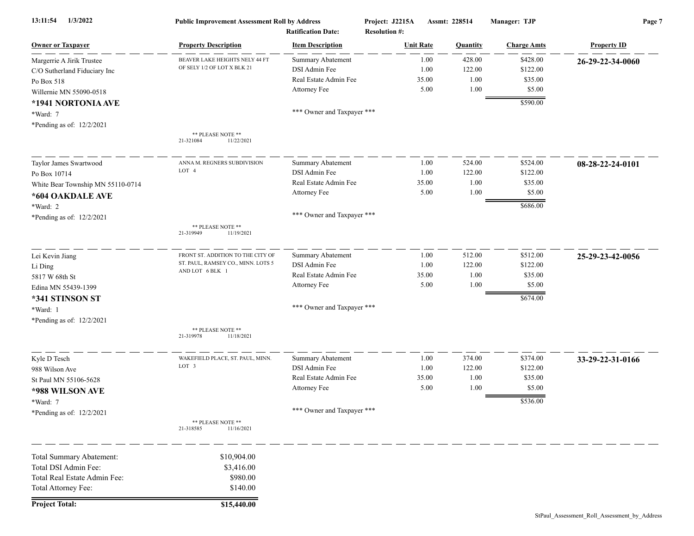| 13:11:54<br>1/3/2022              | <b>Public Improvement Assessment Roll by Address</b><br><b>Ratification Date:</b> |                            | Project: J2215A<br>Assmt: 228514<br><b>Resolution #:</b> |                  | Manager: TJP | Page 7             |                    |
|-----------------------------------|-----------------------------------------------------------------------------------|----------------------------|----------------------------------------------------------|------------------|--------------|--------------------|--------------------|
| <b>Owner or Taxpayer</b>          | <b>Property Description</b>                                                       | <b>Item Description</b>    |                                                          | <b>Unit Rate</b> | Quantity     | <b>Charge Amts</b> | <b>Property ID</b> |
| Margerrie A Jirik Trustee         | BEAVER LAKE HEIGHTS NELY 44 FT                                                    | <b>Summary Abatement</b>   |                                                          | 1.00             | 428.00       | \$428.00           | 26-29-22-34-0060   |
| C/O Sutherland Fiduciary Inc      | OF SELY 1/2 OF LOT X BLK 21                                                       | DSI Admin Fee              |                                                          | 1.00             | 122.00       | \$122.00           |                    |
| Po Box 518                        |                                                                                   | Real Estate Admin Fee      |                                                          | 35.00            | 1.00         | \$35.00            |                    |
| Willernie MN 55090-0518           |                                                                                   | Attorney Fee               |                                                          | 5.00             | 1.00         | \$5.00             |                    |
| *1941 NORTONIA AVE                |                                                                                   |                            |                                                          |                  |              | \$590.00           |                    |
| *Ward: 7                          |                                                                                   | *** Owner and Taxpayer *** |                                                          |                  |              |                    |                    |
| *Pending as of: 12/2/2021         |                                                                                   |                            |                                                          |                  |              |                    |                    |
|                                   | ** PLEASE NOTE **<br>11/22/2021<br>21-321084                                      |                            |                                                          |                  |              |                    |                    |
| Taylor James Swartwood            | ANNA M. REGNERS SUBDIVISION                                                       | Summary Abatement          |                                                          | 1.00             | 524.00       | \$524.00           | 08-28-22-24-0101   |
| Po Box 10714                      | LOT 4                                                                             | DSI Admin Fee              |                                                          | 1.00             | 122.00       | \$122.00           |                    |
| White Bear Township MN 55110-0714 |                                                                                   | Real Estate Admin Fee      |                                                          | 35.00            | 1.00         | \$35.00            |                    |
| *604 OAKDALE AVE                  |                                                                                   | Attorney Fee               |                                                          | 5.00             | 1.00         | \$5.00             |                    |
| *Ward: 2                          |                                                                                   |                            |                                                          |                  |              | \$686.00           |                    |
| *Pending as of: 12/2/2021         |                                                                                   | *** Owner and Taxpayer *** |                                                          |                  |              |                    |                    |
|                                   | ** PLEASE NOTE **<br>21-319949<br>11/19/2021                                      |                            |                                                          |                  |              |                    |                    |
| Lei Kevin Jiang                   | FRONT ST. ADDITION TO THE CITY OF                                                 | Summary Abatement          |                                                          | 1.00             | 512.00       | \$512.00           | 25-29-23-42-0056   |
| Li Ding                           | ST. PAUL, RAMSEY CO., MINN. LOTS 5                                                | DSI Admin Fee              |                                                          | 1.00             | 122.00       | \$122.00           |                    |
| 5817 W 68th St                    | AND LOT 6 BLK 1                                                                   | Real Estate Admin Fee      |                                                          | 35.00            | 1.00         | \$35.00            |                    |
| Edina MN 55439-1399               |                                                                                   | Attorney Fee               |                                                          | 5.00             | 1.00         | \$5.00             |                    |
| *341 STINSON ST                   |                                                                                   |                            |                                                          |                  |              | \$674.00           |                    |
| *Ward: 1                          |                                                                                   | *** Owner and Taxpayer *** |                                                          |                  |              |                    |                    |
| *Pending as of: 12/2/2021         |                                                                                   |                            |                                                          |                  |              |                    |                    |
|                                   | ** PLEASE NOTE **<br>21-319978<br>11/18/2021                                      |                            |                                                          |                  |              |                    |                    |
| Kyle D Tesch                      | WAKEFIELD PLACE, ST. PAUL, MINN.                                                  | <b>Summary Abatement</b>   |                                                          | 1.00             | 374.00       | \$374.00           | 33-29-22-31-0166   |
| 988 Wilson Ave                    | LOT 3                                                                             | DSI Admin Fee              |                                                          | 1.00             | 122.00       | \$122.00           |                    |
| St Paul MN 55106-5628             |                                                                                   | Real Estate Admin Fee      |                                                          | 35.00            | 1.00         | \$35.00            |                    |
| *988 WILSON AVE                   |                                                                                   | Attorney Fee               |                                                          | 5.00             | 1.00         | \$5.00             |                    |
| *Ward: 7                          |                                                                                   |                            |                                                          |                  |              | \$536.00           |                    |
| *Pending as of: 12/2/2021         |                                                                                   | *** Owner and Taxpayer *** |                                                          |                  |              |                    |                    |
|                                   | ** PLEASE NOTE **<br>21-318585<br>11/16/2021                                      |                            |                                                          |                  |              |                    |                    |
| Total Summary Abatement:          | \$10,904.00                                                                       |                            |                                                          |                  |              |                    |                    |
| Total DSI Admin Fee:              | \$3,416.00                                                                        |                            |                                                          |                  |              |                    |                    |
| Total Real Estate Admin Fee:      | \$980.00                                                                          |                            |                                                          |                  |              |                    |                    |
| Total Attorney Fee:               | \$140.00                                                                          |                            |                                                          |                  |              |                    |                    |
| <b>Project Total:</b>             | \$15,440.00                                                                       |                            |                                                          |                  |              |                    |                    |